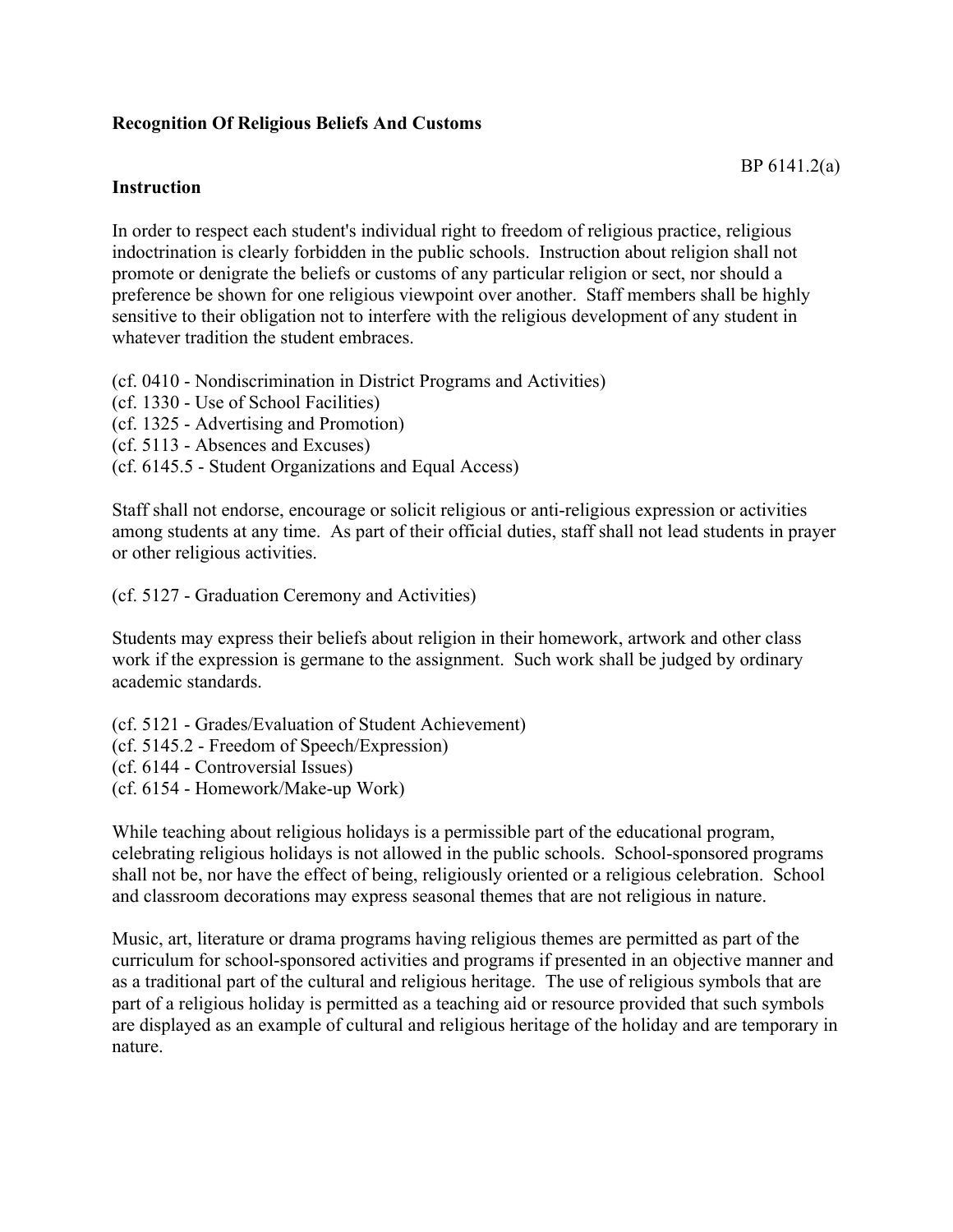## **Recognition Of Religious Beliefs And Customs**

## **Instruction**

In order to respect each student's individual right to freedom of religious practice, religious indoctrination is clearly forbidden in the public schools. Instruction about religion shall not promote or denigrate the beliefs or customs of any particular religion or sect, nor should a preference be shown for one religious viewpoint over another. Staff members shall be highly sensitive to their obligation not to interfere with the religious development of any student in whatever tradition the student embraces.

(cf. 0410 - Nondiscrimination in District Programs and Activities)

(cf. 1330 - Use of School Facilities)

(cf. 1325 - Advertising and Promotion)

- (cf. 5113 Absences and Excuses)
- (cf. 6145.5 Student Organizations and Equal Access)

Staff shall not endorse, encourage or solicit religious or anti-religious expression or activities among students at any time. As part of their official duties, staff shall not lead students in prayer or other religious activities.

(cf. 5127 - Graduation Ceremony and Activities)

Students may express their beliefs about religion in their homework, artwork and other class work if the expression is germane to the assignment. Such work shall be judged by ordinary academic standards.

(cf. 5121 - Grades/Evaluation of Student Achievement) (cf. 5145.2 - Freedom of Speech/Expression) (cf. 6144 - Controversial Issues) (cf. 6154 - Homework/Make-up Work)

While teaching about religious holidays is a permissible part of the educational program, celebrating religious holidays is not allowed in the public schools. School-sponsored programs shall not be, nor have the effect of being, religiously oriented or a religious celebration. School and classroom decorations may express seasonal themes that are not religious in nature.

Music, art, literature or drama programs having religious themes are permitted as part of the curriculum for school-sponsored activities and programs if presented in an objective manner and as a traditional part of the cultural and religious heritage. The use of religious symbols that are part of a religious holiday is permitted as a teaching aid or resource provided that such symbols are displayed as an example of cultural and religious heritage of the holiday and are temporary in nature.